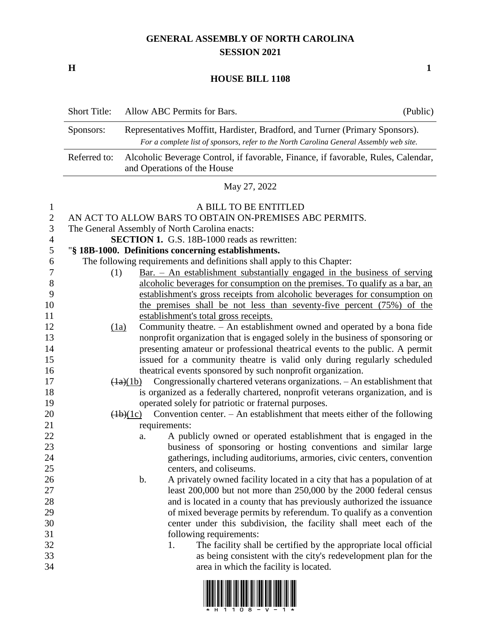## **GENERAL ASSEMBLY OF NORTH CAROLINA SESSION 2021**

**H 1**

## **HOUSE BILL 1108**

|                | <b>Short Title:</b>                                                                     |                         | Allow ABC Permits for Bars.                                                                                      | (Public) |
|----------------|-----------------------------------------------------------------------------------------|-------------------------|------------------------------------------------------------------------------------------------------------------|----------|
|                | Sponsors:                                                                               |                         | Representatives Moffitt, Hardister, Bradford, and Turner (Primary Sponsors).                                     |          |
|                | For a complete list of sponsors, refer to the North Carolina General Assembly web site. |                         |                                                                                                                  |          |
|                | Referred to:                                                                            |                         | Alcoholic Beverage Control, if favorable, Finance, if favorable, Rules, Calendar,<br>and Operations of the House |          |
|                |                                                                                         |                         | May 27, 2022                                                                                                     |          |
| $\mathbf{1}$   |                                                                                         |                         | A BILL TO BE ENTITLED                                                                                            |          |
| $\overline{2}$ |                                                                                         |                         | AN ACT TO ALLOW BARS TO OBTAIN ON-PREMISES ABC PERMITS.                                                          |          |
| 3              |                                                                                         |                         | The General Assembly of North Carolina enacts:                                                                   |          |
| $\overline{4}$ |                                                                                         |                         | <b>SECTION 1.</b> G.S. 18B-1000 reads as rewritten:                                                              |          |
| 5              |                                                                                         |                         | "§ 18B-1000. Definitions concerning establishments.                                                              |          |
| 6              |                                                                                         |                         | The following requirements and definitions shall apply to this Chapter:                                          |          |
| 7              | (1)                                                                                     |                         | $Bar.$ - An establishment substantially engaged in the business of serving                                       |          |
| $8\,$          |                                                                                         |                         | alcoholic beverages for consumption on the premises. To qualify as a bar, an                                     |          |
| 9              |                                                                                         |                         | establishment's gross receipts from alcoholic beverages for consumption on                                       |          |
| 10             |                                                                                         |                         | the premises shall be not less than seventy-five percent (75%) of the                                            |          |
| 11             |                                                                                         |                         | establishment's total gross receipts.                                                                            |          |
| 12             | (1a)                                                                                    |                         | Community theatre. - An establishment owned and operated by a bona fide                                          |          |
| 13             |                                                                                         |                         | nonprofit organization that is engaged solely in the business of sponsoring or                                   |          |
| 14             |                                                                                         |                         | presenting amateur or professional theatrical events to the public. A permit                                     |          |
| 15             |                                                                                         |                         | issued for a community theatre is valid only during regularly scheduled                                          |          |
| 16             |                                                                                         |                         | theatrical events sponsored by such nonprofit organization.                                                      |          |
| 17             |                                                                                         | $\frac{(1a)}{(1b)}$     | Congressionally chartered veterans organizations. - An establishment that                                        |          |
| 18             |                                                                                         |                         | is organized as a federally chartered, nonprofit veterans organization, and is                                   |          |
| 19             |                                                                                         |                         | operated solely for patriotic or fraternal purposes.                                                             |          |
| 20             |                                                                                         | $\frac{(1b)(1c)}{(1c)}$ | Convention center. $-$ An establishment that meets either of the following                                       |          |
| 21             |                                                                                         |                         | requirements:                                                                                                    |          |
| 22             |                                                                                         | a.                      | A publicly owned or operated establishment that is engaged in the                                                |          |
| 23             |                                                                                         |                         | business of sponsoring or hosting conventions and similar large                                                  |          |
| 24             |                                                                                         |                         | gatherings, including auditoriums, armories, civic centers, convention                                           |          |
| 25             |                                                                                         |                         | centers, and coliseums.                                                                                          |          |
| 26             |                                                                                         | $\mathbf b$ .           | A privately owned facility located in a city that has a population of at                                         |          |
| 27             |                                                                                         |                         | least 200,000 but not more than 250,000 by the 2000 federal census                                               |          |
| 28             |                                                                                         |                         | and is located in a county that has previously authorized the issuance                                           |          |
| 29             |                                                                                         |                         | of mixed beverage permits by referendum. To qualify as a convention                                              |          |
| 30             |                                                                                         |                         | center under this subdivision, the facility shall meet each of the                                               |          |
| 31             |                                                                                         |                         | following requirements:                                                                                          |          |
| 32             |                                                                                         |                         | The facility shall be certified by the appropriate local official<br>1.                                          |          |
| 33             |                                                                                         |                         | as being consistent with the city's redevelopment plan for the                                                   |          |
| 34             |                                                                                         |                         | area in which the facility is located.                                                                           |          |

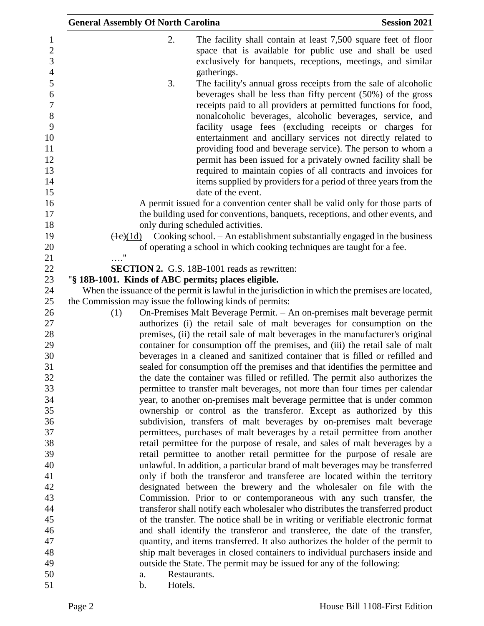| <b>General Assembly Of North Carolina</b>                | <b>Session 2021</b>                                                                                                                                              |
|----------------------------------------------------------|------------------------------------------------------------------------------------------------------------------------------------------------------------------|
| 2.                                                       | The facility shall contain at least 7,500 square feet of floor                                                                                                   |
|                                                          | space that is available for public use and shall be used                                                                                                         |
|                                                          | exclusively for banquets, receptions, meetings, and similar                                                                                                      |
|                                                          | gatherings.                                                                                                                                                      |
| 3.                                                       | The facility's annual gross receipts from the sale of alcoholic                                                                                                  |
|                                                          | beverages shall be less than fifty percent (50%) of the gross                                                                                                    |
|                                                          | receipts paid to all providers at permitted functions for food,                                                                                                  |
|                                                          | nonalcoholic beverages, alcoholic beverages, service, and                                                                                                        |
|                                                          | facility usage fees (excluding receipts or charges for                                                                                                           |
|                                                          | entertainment and ancillary services not directly related to                                                                                                     |
|                                                          | providing food and beverage service). The person to whom a                                                                                                       |
|                                                          | permit has been issued for a privately owned facility shall be                                                                                                   |
|                                                          | required to maintain copies of all contracts and invoices for                                                                                                    |
|                                                          | items supplied by providers for a period of three years from the                                                                                                 |
|                                                          | date of the event.                                                                                                                                               |
|                                                          | A permit issued for a convention center shall be valid only for those parts of<br>the building used for conventions, banquets, receptions, and other events, and |
|                                                          | only during scheduled activities.                                                                                                                                |
| $\frac{(1e)(1d)}{2}$                                     | Cooking school. - An establishment substantially engaged in the business                                                                                         |
|                                                          | of operating a school in which cooking techniques are taught for a fee.                                                                                          |
| $\ldots$ "                                               |                                                                                                                                                                  |
|                                                          | <b>SECTION 2.</b> G.S. 18B-1001 reads as rewritten:                                                                                                              |
| "§ 18B-1001. Kinds of ABC permits; places eligible.      |                                                                                                                                                                  |
|                                                          | When the issuance of the permit is lawful in the jurisdiction in which the premises are located,                                                                 |
| the Commission may issue the following kinds of permits: |                                                                                                                                                                  |
| (1)                                                      | On-Premises Malt Beverage Permit. - An on-premises malt beverage permit                                                                                          |
|                                                          | authorizes (i) the retail sale of malt beverages for consumption on the                                                                                          |
|                                                          | premises, (ii) the retail sale of malt beverages in the manufacturer's original                                                                                  |
|                                                          | container for consumption off the premises, and (iii) the retail sale of malt                                                                                    |
|                                                          | beverages in a cleaned and sanitized container that is filled or refilled and                                                                                    |
|                                                          | sealed for consumption off the premises and that identifies the permittee and                                                                                    |
|                                                          | the date the container was filled or refilled. The permit also authorizes the                                                                                    |
|                                                          | permittee to transfer malt beverages, not more than four times per calendar<br>year, to another on-premises malt beverage permittee that is under common         |
|                                                          | ownership or control as the transferor. Except as authorized by this                                                                                             |
|                                                          | subdivision, transfers of malt beverages by on-premises malt beverage                                                                                            |
|                                                          | permittees, purchases of malt beverages by a retail permittee from another                                                                                       |
|                                                          | retail permittee for the purpose of resale, and sales of malt beverages by a                                                                                     |
|                                                          | retail permittee to another retail permittee for the purpose of resale are                                                                                       |
|                                                          | unlawful. In addition, a particular brand of malt beverages may be transferred                                                                                   |
|                                                          | only if both the transferor and transferee are located within the territory                                                                                      |
|                                                          | designated between the brewery and the wholesaler on file with the                                                                                               |
|                                                          | Commission. Prior to or contemporaneous with any such transfer, the                                                                                              |
|                                                          | transferor shall notify each wholesaler who distributes the transferred product                                                                                  |
|                                                          | of the transfer. The notice shall be in writing or verifiable electronic format                                                                                  |
|                                                          | and shall identify the transferor and transferee, the date of the transfer,                                                                                      |
|                                                          | quantity, and items transferred. It also authorizes the holder of the permit to                                                                                  |
|                                                          | ship malt beverages in closed containers to individual purchasers inside and                                                                                     |
|                                                          | outside the State. The permit may be issued for any of the following:                                                                                            |
| Restaurants.<br>a.                                       |                                                                                                                                                                  |
| b.<br>Hotels.                                            |                                                                                                                                                                  |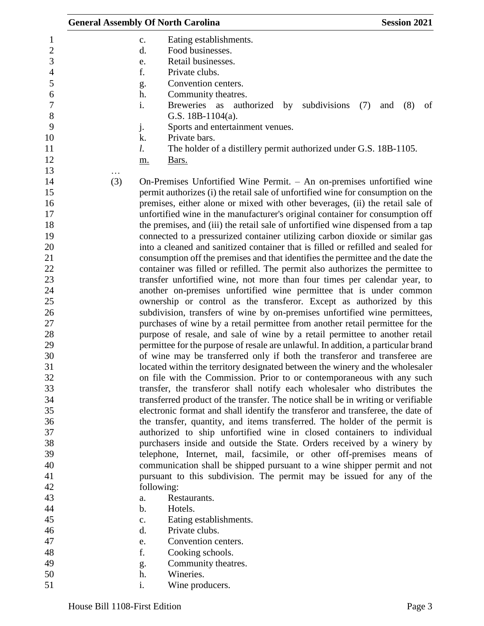|                |                 | <b>General Assembly Of North Carolina</b>                                         | <b>Session 2021</b> |
|----------------|-----------------|-----------------------------------------------------------------------------------|---------------------|
| 1              |                 | Eating establishments.<br>c.                                                      |                     |
| $\overline{c}$ |                 | Food businesses.<br>d.                                                            |                     |
| 3              |                 | Retail businesses.<br>e.                                                          |                     |
| $\overline{4}$ |                 | f.<br>Private clubs.                                                              |                     |
| 5              |                 | Convention centers.<br>g.                                                         |                     |
| 6              |                 | h.<br>Community theatres.                                                         |                     |
| $\overline{7}$ |                 | i.<br>Breweries as<br>subdivisions<br>authorized by<br>(7)                        | (8)<br>and<br>of    |
| $8\,$          |                 | G.S. $18B-1104(a)$ .                                                              |                     |
| 9              |                 | Sports and entertainment venues.                                                  |                     |
| 10             |                 | j.<br>k.<br>Private bars.                                                         |                     |
| 11             |                 | l.<br>The holder of a distillery permit authorized under G.S. 18B-1105.           |                     |
| 12             |                 | Bars.<br>m.                                                                       |                     |
| 13             |                 |                                                                                   |                     |
| 14             | $\cdots$<br>(3) | On-Premises Unfortified Wine Permit. – An on-premises unfortified wine            |                     |
| 15             |                 | permit authorizes (i) the retail sale of unfortified wine for consumption on the  |                     |
| 16             |                 | premises, either alone or mixed with other beverages, (ii) the retail sale of     |                     |
| 17             |                 | unfortified wine in the manufacturer's original container for consumption off     |                     |
| 18             |                 | the premises, and (iii) the retail sale of unfortified wine dispensed from a tap  |                     |
| 19             |                 | connected to a pressurized container utilizing carbon dioxide or similar gas      |                     |
| 20             |                 | into a cleaned and sanitized container that is filled or refilled and sealed for  |                     |
| 21             |                 | consumption off the premises and that identifies the permittee and the date the   |                     |
| 22             |                 | container was filled or refilled. The permit also authorizes the permittee to     |                     |
| 23             |                 | transfer unfortified wine, not more than four times per calendar year, to         |                     |
| 24             |                 | another on-premises unfortified wine permittee that is under common               |                     |
| 25             |                 | ownership or control as the transferor. Except as authorized by this              |                     |
| 26             |                 | subdivision, transfers of wine by on-premises unfortified wine permittees,        |                     |
| 27             |                 | purchases of wine by a retail permittee from another retail permittee for the     |                     |
| 28             |                 | purpose of resale, and sale of wine by a retail permittee to another retail       |                     |
| 29             |                 | permittee for the purpose of resale are unlawful. In addition, a particular brand |                     |
| 30             |                 | of wine may be transferred only if both the transferor and transferee are         |                     |
| 31             |                 | located within the territory designated between the winery and the wholesaler     |                     |
| 32             |                 | on file with the Commission. Prior to or contemporaneous with any such            |                     |
| 33             |                 | transfer, the transferor shall notify each wholesaler who distributes the         |                     |
| 34             |                 | transferred product of the transfer. The notice shall be in writing or verifiable |                     |
| 35             |                 | electronic format and shall identify the transferor and transferee, the date of   |                     |
| 36             |                 | the transfer, quantity, and items transferred. The holder of the permit is        |                     |
| 37             |                 | authorized to ship unfortified wine in closed containers to individual            |                     |
| 38             |                 | purchasers inside and outside the State. Orders received by a winery by           |                     |
| 39             |                 | telephone, Internet, mail, facsimile, or other off-premises means of              |                     |
| 40             |                 | communication shall be shipped pursuant to a wine shipper permit and not          |                     |
| 41             |                 | pursuant to this subdivision. The permit may be issued for any of the             |                     |
| 42             |                 | following:                                                                        |                     |
| 43             |                 | Restaurants.<br>a.                                                                |                     |
| 44             |                 | Hotels.<br>b.                                                                     |                     |
| 45             |                 | Eating establishments.<br>$\mathbf{c}$ .                                          |                     |
| 46             |                 | Private clubs.<br>d.                                                              |                     |
| 47             |                 | Convention centers.<br>e.                                                         |                     |
| 48             |                 | f.<br>Cooking schools.                                                            |                     |
| 49             |                 | Community theatres.<br>g.                                                         |                     |
| 50             |                 | Wineries.<br>h.                                                                   |                     |
| 51             |                 | i.<br>Wine producers.                                                             |                     |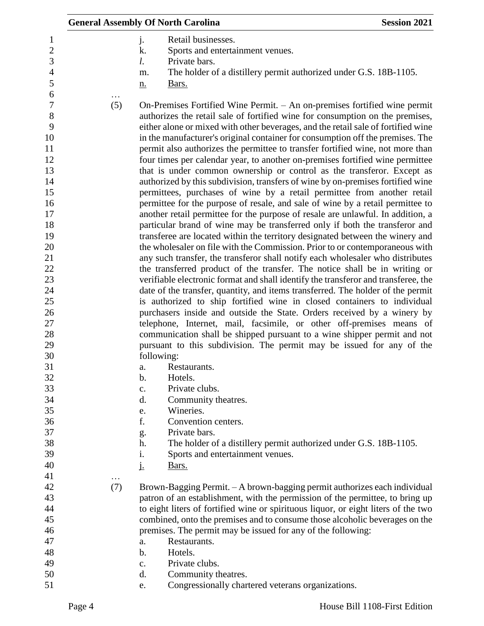|          | <b>General Assembly Of North Carolina</b>                                                                                                                  | <b>Session 2021</b> |
|----------|------------------------------------------------------------------------------------------------------------------------------------------------------------|---------------------|
|          | Retail businesses.<br>j.                                                                                                                                   |                     |
|          | k.<br>Sports and entertainment venues.                                                                                                                     |                     |
|          | l.<br>Private bars.                                                                                                                                        |                     |
|          | The holder of a distillery permit authorized under G.S. 18B-1105.<br>m.                                                                                    |                     |
|          | Bars.<br><u>n.</u>                                                                                                                                         |                     |
| .<br>(5) | On-Premises Fortified Wine Permit. – An on-premises fortified wine permit                                                                                  |                     |
|          | authorizes the retail sale of fortified wine for consumption on the premises,                                                                              |                     |
|          | either alone or mixed with other beverages, and the retail sale of fortified wine                                                                          |                     |
|          | in the manufacturer's original container for consumption off the premises. The                                                                             |                     |
|          | permit also authorizes the permittee to transfer fortified wine, not more than                                                                             |                     |
|          | four times per calendar year, to another on-premises fortified wine permittee                                                                              |                     |
|          | that is under common ownership or control as the transferor. Except as                                                                                     |                     |
|          | authorized by this subdivision, transfers of wine by on-premises fortified wine                                                                            |                     |
|          | permittees, purchases of wine by a retail permittee from another retail                                                                                    |                     |
|          | permittee for the purpose of resale, and sale of wine by a retail permittee to                                                                             |                     |
|          | another retail permittee for the purpose of resale are unlawful. In addition, a                                                                            |                     |
|          | particular brand of wine may be transferred only if both the transferor and                                                                                |                     |
|          | transferee are located within the territory designated between the winery and                                                                              |                     |
|          | the wholesaler on file with the Commission. Prior to or contemporaneous with                                                                               |                     |
|          | any such transfer, the transferor shall notify each wholesaler who distributes                                                                             |                     |
|          | the transferred product of the transfer. The notice shall be in writing or                                                                                 |                     |
|          | verifiable electronic format and shall identify the transferor and transferee, the                                                                         |                     |
|          | date of the transfer, quantity, and items transferred. The holder of the permit<br>is authorized to ship fortified wine in closed containers to individual |                     |
|          | purchasers inside and outside the State. Orders received by a winery by                                                                                    |                     |
|          | telephone, Internet, mail, facsimile, or other off-premises means of                                                                                       |                     |
|          | communication shall be shipped pursuant to a wine shipper permit and not                                                                                   |                     |
|          | pursuant to this subdivision. The permit may be issued for any of the                                                                                      |                     |
|          | following:                                                                                                                                                 |                     |
|          | Restaurants.<br>a.                                                                                                                                         |                     |
|          | Hotels.<br>b.                                                                                                                                              |                     |
|          | Private clubs.<br>$\mathbf{c}$ .                                                                                                                           |                     |
|          | Community theatres.<br>d.                                                                                                                                  |                     |
|          | Wineries.<br>e.                                                                                                                                            |                     |
|          | f.<br>Convention centers.                                                                                                                                  |                     |
|          | Private bars.<br>g.                                                                                                                                        |                     |
|          | The holder of a distillery permit authorized under G.S. 18B-1105.<br>h.                                                                                    |                     |
|          | Sports and entertainment venues.<br>$\mathbf{1}$ .                                                                                                         |                     |
|          | <u>j.</u><br>Bars.                                                                                                                                         |                     |
| $\cdots$ |                                                                                                                                                            |                     |
| (7)      | Brown-Bagging Permit. - A brown-bagging permit authorizes each individual                                                                                  |                     |
|          | patron of an establishment, with the permission of the permittee, to bring up                                                                              |                     |
|          | to eight liters of fortified wine or spirituous liquor, or eight liters of the two                                                                         |                     |
|          | combined, onto the premises and to consume those alcoholic beverages on the                                                                                |                     |
|          | premises. The permit may be issued for any of the following:                                                                                               |                     |
|          | Restaurants.<br>a.<br>Hotels.<br>b.                                                                                                                        |                     |
|          | Private clubs.                                                                                                                                             |                     |
|          | c.<br>Community theatres.<br>d.                                                                                                                            |                     |
|          | Congressionally chartered veterans organizations.<br>e.                                                                                                    |                     |
|          |                                                                                                                                                            |                     |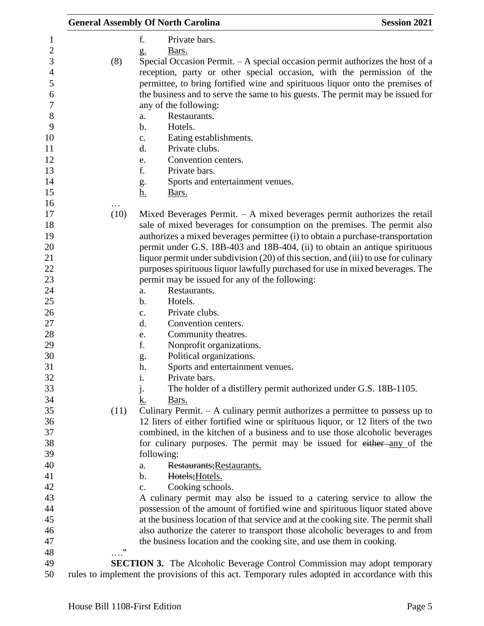|                |      | <b>General Assembly Of North Carolina</b>                                                                                                                  | <b>Session 2021</b> |
|----------------|------|------------------------------------------------------------------------------------------------------------------------------------------------------------|---------------------|
| $\bf{l}$       |      | f.<br>Private bars.                                                                                                                                        |                     |
| $\overline{c}$ |      | Bars.<br>$g_{\cdot}$                                                                                                                                       |                     |
| $\mathfrak{Z}$ | (8)  | Special Occasion Permit. $- A$ special occasion permit authorizes the host of a                                                                            |                     |
| 4              |      | reception, party or other special occasion, with the permission of the                                                                                     |                     |
| $\mathfrak s$  |      | permittee, to bring fortified wine and spirituous liquor onto the premises of                                                                              |                     |
| 6              |      | the business and to serve the same to his guests. The permit may be issued for                                                                             |                     |
| 7              |      | any of the following:                                                                                                                                      |                     |
| $8\,$          |      | Restaurants.<br>a.                                                                                                                                         |                     |
| 9              |      | b.<br>Hotels.                                                                                                                                              |                     |
| 10             |      | Eating establishments.<br>c.                                                                                                                               |                     |
| 11             |      | Private clubs.<br>d.                                                                                                                                       |                     |
| 12             |      | Convention centers.<br>e.                                                                                                                                  |                     |
| 13             |      | f.<br>Private bars.                                                                                                                                        |                     |
| 14             |      | Sports and entertainment venues.<br>g.                                                                                                                     |                     |
| 15             |      | <u>h.</u><br>Bars.                                                                                                                                         |                     |
| 16             |      |                                                                                                                                                            |                     |
| 17<br>18       | (10) | Mixed Beverages Permit. $-$ A mixed beverages permit authorizes the retail                                                                                 |                     |
| 19             |      | sale of mixed beverages for consumption on the premises. The permit also<br>authorizes a mixed beverages permittee (i) to obtain a purchase-transportation |                     |
| 20             |      | permit under G.S. 18B-403 and 18B-404, (ii) to obtain an antique spirituous                                                                                |                     |
| 21             |      | liquor permit under subdivision (20) of this section, and (iii) to use for culinary                                                                        |                     |
| 22             |      | purposes spirituous liquor lawfully purchased for use in mixed beverages. The                                                                              |                     |
| 23             |      | permit may be issued for any of the following:                                                                                                             |                     |
| 24             |      | Restaurants.<br>a.                                                                                                                                         |                     |
| 25             |      | Hotels.<br>b.                                                                                                                                              |                     |
| 26             |      | Private clubs.<br>c.                                                                                                                                       |                     |
| 27             |      | d.<br>Convention centers.                                                                                                                                  |                     |
| 28             |      | Community theatres.<br>e.                                                                                                                                  |                     |
| 29             |      | f.<br>Nonprofit organizations.                                                                                                                             |                     |
| 30             |      | Political organizations.<br>g.                                                                                                                             |                     |
| 31             |      | h.<br>Sports and entertainment venues.                                                                                                                     |                     |
| 32             |      | i.<br>Private bars.                                                                                                                                        |                     |
| 33             |      | The holder of a distillery permit authorized under G.S. 18B-1105.<br>j.                                                                                    |                     |
| 34             |      | <u>k.</u><br>Bars.                                                                                                                                         |                     |
| 35             | (11) | Culinary Permit. $- A$ culinary permit authorizes a permittee to possess up to                                                                             |                     |
| 36             |      | 12 liters of either fortified wine or spirituous liquor, or 12 liters of the two                                                                           |                     |
| 37             |      | combined, in the kitchen of a business and to use those alcoholic beverages                                                                                |                     |
| 38             |      | for culinary purposes. The permit may be issued for either any of the                                                                                      |                     |
| 39             |      | following:                                                                                                                                                 |                     |
| 40             |      | Restaurants; Restaurants.<br>a.                                                                                                                            |                     |
| 41             |      | Hotels; Hotels.<br>b.                                                                                                                                      |                     |
| 42             |      | Cooking schools.<br>c.                                                                                                                                     |                     |
| 43             |      | A culinary permit may also be issued to a catering service to allow the                                                                                    |                     |
| 44             |      | possession of the amount of fortified wine and spirituous liquor stated above                                                                              |                     |
| 45             |      | at the business location of that service and at the cooking site. The permit shall                                                                         |                     |
| 46             |      | also authorize the caterer to transport those alcoholic beverages to and from                                                                              |                     |
| 47             |      | the business location and the cooking site, and use them in cooking.                                                                                       |                     |
| 48             | "    |                                                                                                                                                            |                     |
| 49             |      | <b>SECTION 3.</b> The Alcoholic Beverage Control Commission may adopt temporary                                                                            |                     |
| 50             |      | rules to implement the provisions of this act. Temporary rules adopted in accordance with this                                                             |                     |